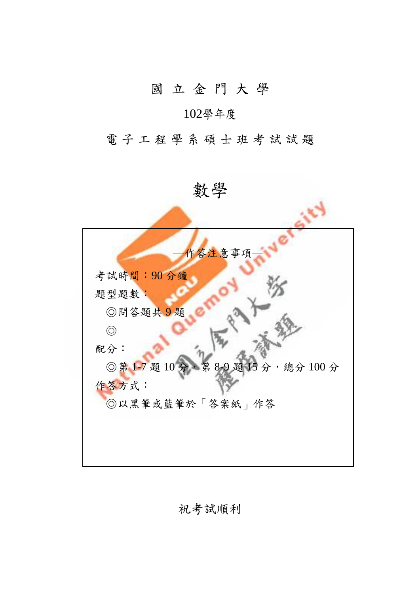## 國 立 金 門 大 學

## 102學年度

電子工程學系碩士班考試試題

數學 作答注意事項 考試時間:90 分鐘 題型題數: ◎問答題共 9 題 ◎ 配分: ◎第1-7題 10分,第8-9題15分,總分100分 作答方式: ◎以黑筆或藍筆於「答案紙」作答

祝考試順利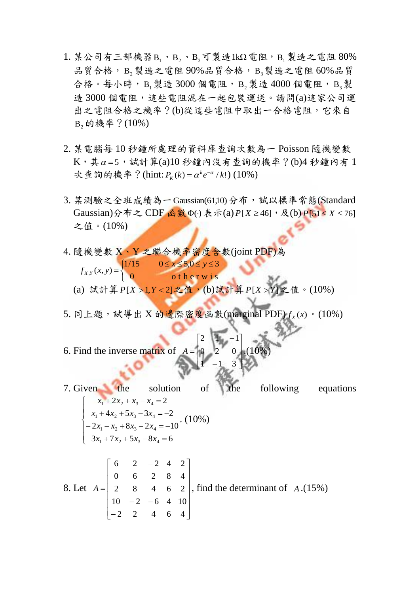- 1. 某公司有三部機器 B<sub>1</sub>、B<sub>2</sub>、B<sub>3</sub>可製造1kΩ 電阻, B<sub>1</sub>製造之電阻 80% 品質合格,  $B_2$ 製造之電阻 90%品質合格,  $B_3$ 製造之電阻 60%品質 合格。每小時, B<sub>1</sub>製造 3000個電阻, B<sub>2</sub>製造 4000個電阻, B<sub>3</sub>製 造 3000 個電阻,這些電阻混在一起包裝運送。請問(a)這家公司運 出之電阻合格之機率?(b)從這些電阻中取出一合格電阻,它來自  $B_2$ 的機率?(10%)
- 2. 某電腦每 10 秒鐘所處理的資料庫查詢次數為一 Poisson 隨機變數  $\mathrm{K} \cdot \sharp \alpha$ =5,試計算(a)10秒鐘內沒有查詢的機率?(b)4秒鐘內有1 次查詢的機率?(hint:  $P_k(k) = \alpha^k e^{-\alpha}/k!$  $R_K(k) = \alpha^k e^{-\alpha} / k! (10\%)$
- 3. 某測驗之全班成績為一 Gaussian(61*,*10) 分布,試以標準常態(Standard  $Gaussian)$ 分布之 CDF 函數 Φ(·) 表示(a) P[*X* ≥ 46],及(b) P[51≤ *X* ≤ 76] 之值。(10%)
- 4. 隨機變數 X、Y 之聯合機率密度含數(joint PDF)為  $\begin{array}{c} \bullet \ \ A, \ \ A \end{array}$  $\left\{ \right.$  $=\begin{cases} 1/15 & 0 \leq x \leq 5, 0 \leq y \leq 0 \end{cases}$ 0 otherwis 1/15  $0 \le x \le 5, 0 \le y \le 3$  $_{,Y}(x, y)$  $x \le 5, 0 \le y$  $f_{X,Y}(x, y)$ (a) 試計算 *P*[*X* >1,*Y* < 2]之值,(b)試計算 *P*[*X* > *Y*] 之值。(10%)
- 5. 同上題,試導出 X 的邊際密度函數(marginal PDF) $f_{\text{x}} (\text{x})$ 。(10%)

L

 $\mathsf{I}$ 

6. Find the inverse matrix of J ć J L Π ŀ, Ę P)  $0 \quad 2 \quad 0$  $A = \begin{bmatrix} 0 & 2 & 0 \end{bmatrix}$ .(10%)

7. Given the solution of the following equations  $\overline{1}$  $\overline{\phantom{a}}$  $\overline{\mathcal{L}}$  $\vert$ ┤  $\int$  $+7x_2 + 5x_3 - 8x_4 =$  $-2x_1 - x_2 + 8x_3 - 2x_4 = +4x_2+5x_3-3x_4= +2x_2 + x_3 - x_4 =$  $3x_1 + 7x_2 + 5x_3 - 8x_4 = 6$  $2x_1 - x_2 + 8x_3 - 2x_4 = -10$  $4x_2 + 5x_3 - 3x_4 = -2$  $2x_2 + x_3 - x_4 = 2$  $v_1$  +  $v_2$  +  $v_3$  –  $v_4$  $1 - \lambda_2 - \sigma \lambda_3 - 2 \lambda_4$  $a_1 + a_2 + a_3 - a_4$  $1 + 2\lambda_2 + \lambda_3 - \lambda_4$  $x_1 + 7x_2 + 5x_3 - 8x$  $x_1 - x_2 + 8x_3 - 2x$  $x_1 + 4x_2 + 5x_3 - 3x$  $x_1 + 2x_2 + x_3 - x$ . (10%)

J

J

è

 $1 - 1 3$ 

2  $1 - 1$ 

8. Let 
$$
A = \begin{bmatrix} 6 & 2 & -2 & 4 & 2 \\ 0 & 6 & 2 & 8 & 4 \\ 2 & 8 & 4 & 6 & 2 \\ 10 & -2 & -6 & 4 & 10 \\ -2 & 2 & 4 & 6 & 4 \end{bmatrix}
$$
, find the determinant of A.(15%)